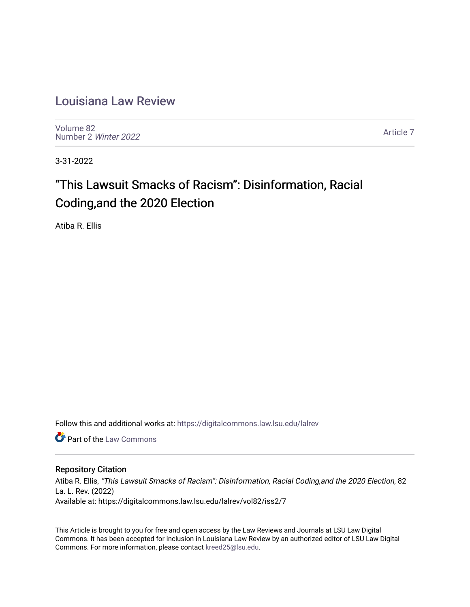# [Louisiana Law Review](https://digitalcommons.law.lsu.edu/lalrev)

[Volume 82](https://digitalcommons.law.lsu.edu/lalrev/vol82) [Number 2](https://digitalcommons.law.lsu.edu/lalrev/vol82/iss2) Winter 2022

[Article 7](https://digitalcommons.law.lsu.edu/lalrev/vol82/iss2/7) 

3-31-2022

# "This Lawsuit Smacks of Racism": Disinformation, Racial Coding,and the 2020 Election

Atiba R. Ellis

Follow this and additional works at: [https://digitalcommons.law.lsu.edu/lalrev](https://digitalcommons.law.lsu.edu/lalrev?utm_source=digitalcommons.law.lsu.edu%2Flalrev%2Fvol82%2Fiss2%2F7&utm_medium=PDF&utm_campaign=PDFCoverPages)

**C** Part of the [Law Commons](http://network.bepress.com/hgg/discipline/578?utm_source=digitalcommons.law.lsu.edu%2Flalrev%2Fvol82%2Fiss2%2F7&utm_medium=PDF&utm_campaign=PDFCoverPages)

# Repository Citation

Atiba R. Ellis, "This Lawsuit Smacks of Racism": Disinformation, Racial Coding,and the 2020 Election, 82 La. L. Rev. (2022) Available at: https://digitalcommons.law.lsu.edu/lalrev/vol82/iss2/7

This Article is brought to you for free and open access by the Law Reviews and Journals at LSU Law Digital Commons. It has been accepted for inclusion in Louisiana Law Review by an authorized editor of LSU Law Digital Commons. For more information, please contact [kreed25@lsu.edu](mailto:kreed25@lsu.edu).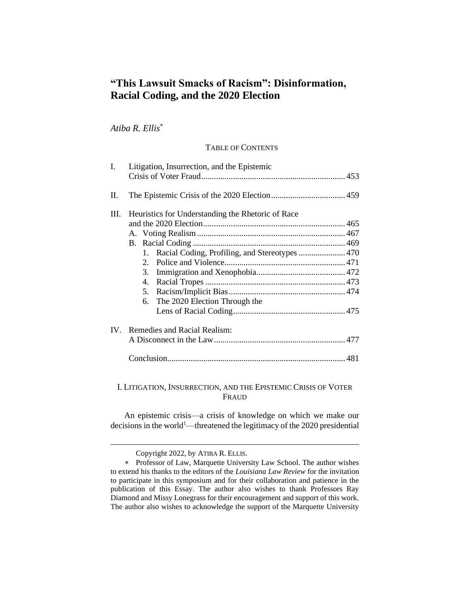# **"This Lawsuit Smacks of Racism": Disinformation, Racial Coding, and the 2020 Election**

*Atiba R. Ellis*\*

## TABLE OF CONTENTS

| L.       | Litigation, Insurrection, and the Epistemic                                                                                        |  |
|----------|------------------------------------------------------------------------------------------------------------------------------------|--|
| II.      |                                                                                                                                    |  |
| Ш.       | Heuristics for Understanding the Rhetoric of Race<br>1.<br>2 <sup>1</sup><br>3.<br>4.<br>5.<br>The 2020 Election Through the<br>6. |  |
| $IV_{-}$ | Remedies and Racial Realism:                                                                                                       |  |

# I. LITIGATION, INSURRECTION, AND THE EPISTEMIC CRISIS OF VOTER FRAUD

An epistemic crisis—a crisis of knowledge on which we make our decisions in the world<sup>1</sup>—threatened the legitimacy of the 2020 presidential

Copyright 2022, by ATIBA R. ELLIS.

Professor of Law, Marquette University Law School. The author wishes to extend his thanks to the editors of the *Louisiana Law Review* for the invitation to participate in this symposium and for their collaboration and patience in the publication of this Essay. The author also wishes to thank Professors Ray Diamond and Missy Lonegrass for their encouragement and support of this work. The author also wishes to acknowledge the support of the Marquette University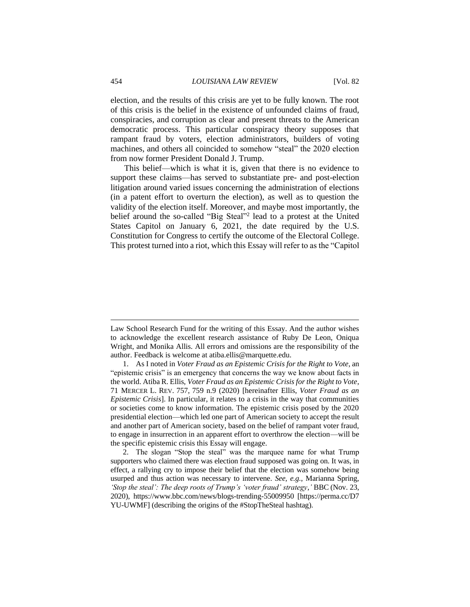election, and the results of this crisis are yet to be fully known. The root of this crisis is the belief in the existence of unfounded claims of fraud, conspiracies, and corruption as clear and present threats to the American democratic process. This particular conspiracy theory supposes that rampant fraud by voters, election administrators, builders of voting machines, and others all coincided to somehow "steal" the 2020 election from now former President Donald J. Trump.

This belief—which is what it is, given that there is no evidence to support these claims—has served to substantiate pre- and post-election litigation around varied issues concerning the administration of elections (in a patent effort to overturn the election), as well as to question the validity of the election itself. Moreover, and maybe most importantly, the belief around the so-called "Big Steal"<sup>2</sup> lead to a protest at the United States Capitol on January 6, 2021, the date required by the U.S. Constitution for Congress to certify the outcome of the Electoral College. This protest turned into a riot, which this Essay will refer to as the "Capitol

Law School Research Fund for the writing of this Essay. And the author wishes to acknowledge the excellent research assistance of Ruby De Leon, Oniqua Wright, and Monika Allis. All errors and omissions are the responsibility of the author. Feedback is welcome at atiba.ellis@marquette.edu.

<sup>1.</sup> As I noted in *Voter Fraud as an Epistemic Crisis for the Right to Vote*, an "epistemic crisis" is an emergency that concerns the way we know about facts in the world. Atiba R. Ellis, *Voter Fraud as an Epistemic Crisis for the Right to Vote*, 71 MERCER L. REV. 757, 759 n.9 (2020) [hereinafter Ellis, *Voter Fraud as an Epistemic Crisis*]. In particular, it relates to a crisis in the way that communities or societies come to know information. The epistemic crisis posed by the 2020 presidential election—which led one part of American society to accept the result and another part of American society, based on the belief of rampant voter fraud, to engage in insurrection in an apparent effort to overthrow the election—will be the specific epistemic crisis this Essay will engage.

<sup>2.</sup> The slogan "Stop the steal" was the marquee name for what Trump supporters who claimed there was election fraud supposed was going on. It was, in effect, a rallying cry to impose their belief that the election was somehow being usurped and thus action was necessary to intervene. *See, e.g.*, Marianna Spring, *'Stop the steal': The deep roots of Trump's 'voter fraud' strategy*,*'* BBC (Nov. 23, 2020), https://www.bbc.com/news/blogs-trending-55009950 [https://perma.cc/D7 YU-UWMF] (describing the origins of the #StopTheSteal hashtag).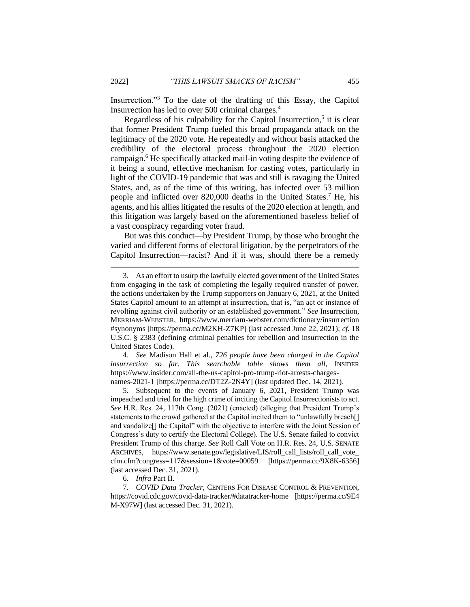Insurrection."<sup>3</sup> To the date of the drafting of this Essay, the Capitol Insurrection has led to over 500 criminal charges.<sup>4</sup>

Regardless of his culpability for the Capitol Insurrection,<sup>5</sup> it is clear that former President Trump fueled this broad propaganda attack on the legitimacy of the 2020 vote. He repeatedly and without basis attacked the credibility of the electoral process throughout the 2020 election campaign.<sup>6</sup> He specifically attacked mail-in voting despite the evidence of it being a sound, effective mechanism for casting votes, particularly in light of the COVID-19 pandemic that was and still is ravaging the United States, and, as of the time of this writing, has infected over 53 million people and inflicted over 820,000 deaths in the United States. <sup>7</sup> He, his agents, and his allies litigated the results of the 2020 election at length, and this litigation was largely based on the aforementioned baseless belief of a vast conspiracy regarding voter fraud.

But was this conduct—by President Trump, by those who brought the varied and different forms of electoral litigation, by the perpetrators of the Capitol Insurrection—racist? And if it was, should there be a remedy

4. *See* Madison Hall et al., *726 people have been charged in the Capitol insurrection so far. This searchable table shows them all*, INSIDER https://www.insider.com/all-the-us-capitol-pro-trump-riot-arrests-chargesnames-2021-1 [https://perma.cc/DT2Z-2N4Y] (last updated Dec. 14, 2021).

5. Subsequent to the events of January 6, 2021, President Trump was impeached and tried for the high crime of inciting the Capitol Insurrectionists to act. *See* H.R. Res. 24, 117th Cong. (2021) (enacted) (alleging that President Trump's statements to the crowd gathered at the Capitol incited them to "unlawfully breach[] and vandalize[] the Capitol" with the objective to interfere with the Joint Session of Congress's duty to certify the Electoral College). The U.S. Senate failed to convict President Trump of this charge. *See* Roll Call Vote on H.R. Res. 24, U.S. SENATE ARCHIVES, https://www.senate.gov/legislative/LIS/roll call lists/roll call vote cfm.cfm?congress=117&session=1&vote=00059 [https://perma.cc/9X8K-6356] (last accessed Dec. 31, 2021).

6. *Infra* Part II.

7. *COVID Data Tracker*, CENTERS FOR DISEASE CONTROL & PREVENTION, https://covid.cdc.gov/covid-data-tracker/#datatracker-home [https://perma.cc/9E4 M-X97W] (last accessed Dec. 31, 2021).

<sup>3.</sup> As an effort to usurp the lawfully elected government of the United States from engaging in the task of completing the legally required transfer of power, the actions undertaken by the Trump supporters on January 6, 2021, at the United States Capitol amount to an attempt at insurrection, that is, "an act or instance of revolting against civil authority or an established government." *See* Insurrection, MERRIAM-WEBSTER, https://www.merriam-webster.com/dictionary/insurrection #synonyms [https://perma.cc/M2KH-Z7KP] (last accessed June 22, 2021); *cf.* 18 U.S.C. § 2383 (defining criminal penalties for rebellion and insurrection in the United States Code).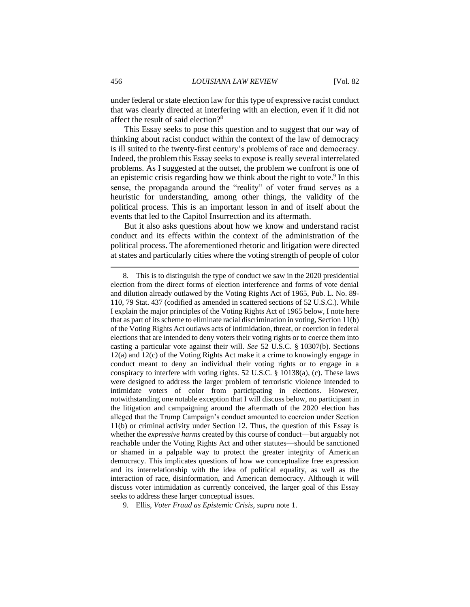under federal or state election law for this type of expressive racist conduct that was clearly directed at interfering with an election, even if it did not affect the result of said election?<sup>8</sup>

This Essay seeks to pose this question and to suggest that our way of thinking about racist conduct within the context of the law of democracy is ill suited to the twenty-first century's problems of race and democracy. Indeed, the problem this Essay seeks to expose is really several interrelated problems. As I suggested at the outset, the problem we confront is one of an epistemic crisis regarding how we think about the right to vote. $9$  In this sense, the propaganda around the "reality" of voter fraud serves as a heuristic for understanding, among other things, the validity of the political process. This is an important lesson in and of itself about the events that led to the Capitol Insurrection and its aftermath.

But it also asks questions about how we know and understand racist conduct and its effects within the context of the administration of the political process. The aforementioned rhetoric and litigation were directed at states and particularly cities where the voting strength of people of color

9. Ellis, *Voter Fraud as Epistemic Crisis*, *supra* note 1.

<sup>8.</sup> This is to distinguish the type of conduct we saw in the 2020 presidential election from the direct forms of election interference and forms of vote denial and dilution already outlawed by the Voting Rights Act of 1965, Pub. L. No. 89- 110, 79 Stat. 437 (codified as amended in scattered sections of 52 U.S.C.). While I explain the major principles of the Voting Rights Act of 1965 below, I note here that as part of its scheme to eliminate racial discrimination in voting, Section 11(b) of the Voting Rights Act outlaws acts of intimidation, threat, or coercion in federal elections that are intended to deny voters their voting rights or to coerce them into casting a particular vote against their will. *See* 52 U.S.C. § 10307(b). Sections 12(a) and 12(c) of the Voting Rights Act make it a crime to knowingly engage in conduct meant to deny an individual their voting rights or to engage in a conspiracy to interfere with voting rights. 52 U.S.C. § 10138(a), (c). These laws were designed to address the larger problem of terroristic violence intended to intimidate voters of color from participating in elections. However, notwithstanding one notable exception that I will discuss below, no participant in the litigation and campaigning around the aftermath of the 2020 election has alleged that the Trump Campaign's conduct amounted to coercion under Section 11(b) or criminal activity under Section 12. Thus, the question of this Essay is whether the *expressive harms* created by this course of conduct—but arguably not reachable under the Voting Rights Act and other statutes—should be sanctioned or shamed in a palpable way to protect the greater integrity of American democracy. This implicates questions of how we conceptualize free expression and its interrelationship with the idea of political equality, as well as the interaction of race, disinformation, and American democracy. Although it will discuss voter intimidation as currently conceived, the larger goal of this Essay seeks to address these larger conceptual issues.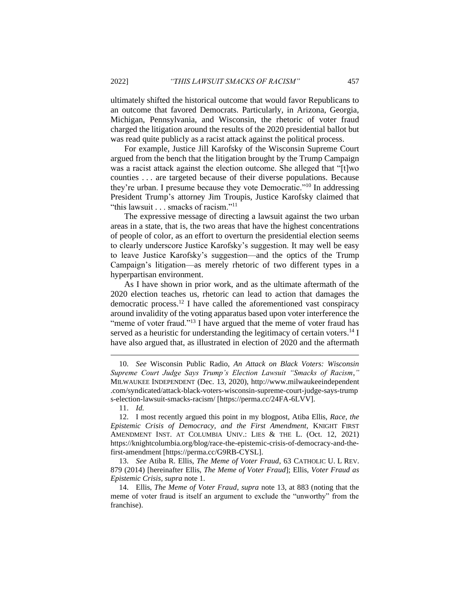ultimately shifted the historical outcome that would favor Republicans to an outcome that favored Democrats. Particularly, in Arizona, Georgia, Michigan, Pennsylvania, and Wisconsin, the rhetoric of voter fraud charged the litigation around the results of the 2020 presidential ballot but was read quite publicly as a racist attack against the political process.

For example, Justice Jill Karofsky of the Wisconsin Supreme Court argued from the bench that the litigation brought by the Trump Campaign was a racist attack against the election outcome. She alleged that "[t]wo counties . . . are targeted because of their diverse populations. Because they're urban. I presume because they vote Democratic."<sup>10</sup> In addressing President Trump's attorney Jim Troupis, Justice Karofsky claimed that "this lawsuit . . . smacks of racism."<sup>11</sup>

The expressive message of directing a lawsuit against the two urban areas in a state, that is, the two areas that have the highest concentrations of people of color, as an effort to overturn the presidential election seems to clearly underscore Justice Karofsky's suggestion. It may well be easy to leave Justice Karofsky's suggestion—and the optics of the Trump Campaign's litigation—as merely rhetoric of two different types in a hyperpartisan environment.

As I have shown in prior work, and as the ultimate aftermath of the 2020 election teaches us, rhetoric can lead to action that damages the democratic process.<sup>12</sup> I have called the aforementioned vast conspiracy around invalidity of the voting apparatus based upon voter interference the "meme of voter fraud."<sup>13</sup> I have argued that the meme of voter fraud has served as a heuristic for understanding the legitimacy of certain voters.<sup>14</sup> I have also argued that, as illustrated in election of 2020 and the aftermath

11. *Id.*

12. I most recently argued this point in my blogpost, Atiba Ellis, *Race, the Epistemic Crisis of Democracy, and the First Amendment*, KNIGHT FIRST AMENDMENT INST. AT COLUMBIA UNIV.: LIES & THE L. (Oct. 12, 2021) https://knightcolumbia.org/blog/race-the-epistemic-crisis-of-democracy-and-thefirst-amendment [https://perma.cc/G9RB-CYSL].

13. *See* Atiba R. Ellis, *The Meme of Voter Fraud*, 63 CATHOLIC U. L REV. 879 (2014) [hereinafter Ellis, *The Meme of Voter Fraud*]; Ellis, *Voter Fraud as Epistemic Crisis*, *supra* note 1.

14. Ellis, *The Meme of Voter Fraud*, *supra* note 13, at 883 (noting that the meme of voter fraud is itself an argument to exclude the "unworthy" from the franchise).

<sup>10.</sup> *See* Wisconsin Public Radio, *An Attack on Black Voters: Wisconsin Supreme Court Judge Says Trump's Election Lawsuit "Smacks of Racism*,*"* MILWAUKEE INDEPENDENT (Dec. 13, 2020), http://www.milwaukeeindependent .com/syndicated/attack-black-voters-wisconsin-supreme-court-judge-says-trump s-election-lawsuit-smacks-racism/ [https://perma.cc/24FA-6LVV].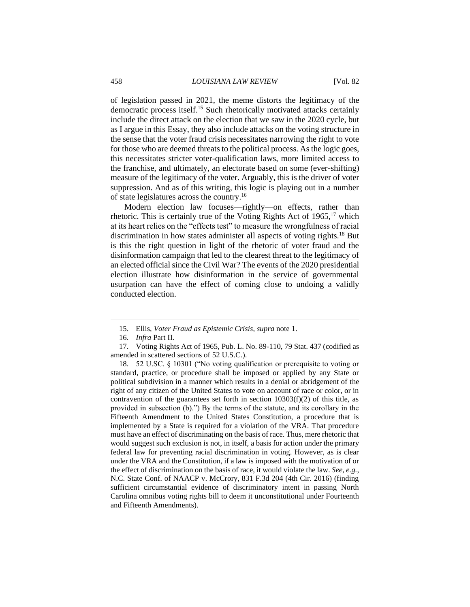of legislation passed in 2021, the meme distorts the legitimacy of the democratic process itself.<sup>15</sup> Such rhetorically motivated attacks certainly include the direct attack on the election that we saw in the 2020 cycle, but as I argue in this Essay, they also include attacks on the voting structure in the sense that the voter fraud crisis necessitates narrowing the right to vote for those who are deemed threats to the political process. As the logic goes, this necessitates stricter voter-qualification laws, more limited access to the franchise, and ultimately, an electorate based on some (ever-shifting) measure of the legitimacy of the voter. Arguably, this is the driver of voter suppression. And as of this writing, this logic is playing out in a number of state legislatures across the country.<sup>16</sup>

Modern election law focuses—rightly—on effects, rather than rhetoric. This is certainly true of the Voting Rights Act of  $1965$ ,<sup>17</sup> which at its heart relies on the "effects test" to measure the wrongfulness of racial discrimination in how states administer all aspects of voting rights.<sup>18</sup> But is this the right question in light of the rhetoric of voter fraud and the disinformation campaign that led to the clearest threat to the legitimacy of an elected official since the Civil War? The events of the 2020 presidential election illustrate how disinformation in the service of governmental usurpation can have the effect of coming close to undoing a validly conducted election.

<sup>15.</sup> Ellis, *Voter Fraud as Epistemic Crisis*, *supra* note 1.

<sup>16.</sup> *Infra* Part II.

<sup>17.</sup> Voting Rights Act of 1965, Pub. L. No. 89-110, 79 Stat. 437 (codified as amended in scattered sections of 52 U.S.C.).

<sup>18.</sup> 52 U.SC. § 10301 ("No voting qualification or prerequisite to voting or standard, practice, or procedure shall be imposed or applied by any State or political subdivision in a manner which results in a denial or abridgement of the right of any citizen of the United States to vote on account of race or color, or in contravention of the guarantees set forth in section  $10303(f)(2)$  of this title, as provided in subsection (b).") By the terms of the statute, and its corollary in the Fifteenth Amendment to the United States Constitution, a procedure that is implemented by a State is required for a violation of the VRA. That procedure must have an effect of discriminating on the basis of race. Thus, mere rhetoric that would suggest such exclusion is not, in itself, a basis for action under the primary federal law for preventing racial discrimination in voting. However, as is clear under the VRA and the Constitution, if a law is imposed with the motivation of or the effect of discrimination on the basis of race, it would violate the law. *See, e.g.*, N.C. State Conf. of NAACP v. McCrory, 831 F.3d 204 (4th Cir. 2016) (finding sufficient circumstantial evidence of discriminatory intent in passing North Carolina omnibus voting rights bill to deem it unconstitutional under Fourteenth and Fifteenth Amendments).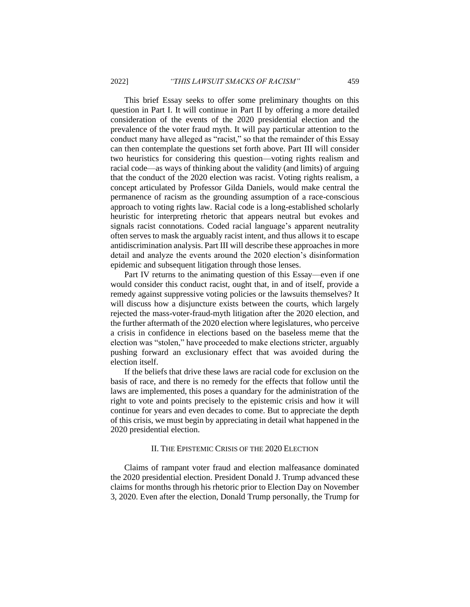This brief Essay seeks to offer some preliminary thoughts on this question in Part I. It will continue in Part II by offering a more detailed consideration of the events of the 2020 presidential election and the prevalence of the voter fraud myth. It will pay particular attention to the conduct many have alleged as "racist," so that the remainder of this Essay can then contemplate the questions set forth above. Part III will consider two heuristics for considering this question—voting rights realism and racial code—as ways of thinking about the validity (and limits) of arguing that the conduct of the 2020 election was racist. Voting rights realism, a concept articulated by Professor Gilda Daniels, would make central the permanence of racism as the grounding assumption of a race-conscious approach to voting rights law. Racial code is a long-established scholarly heuristic for interpreting rhetoric that appears neutral but evokes and signals racist connotations. Coded racial language's apparent neutrality often serves to mask the arguably racist intent, and thus allows it to escape antidiscrimination analysis. Part III will describe these approaches in more detail and analyze the events around the 2020 election's disinformation epidemic and subsequent litigation through those lenses.

Part IV returns to the animating question of this Essay—even if one would consider this conduct racist, ought that, in and of itself, provide a remedy against suppressive voting policies or the lawsuits themselves? It will discuss how a disjuncture exists between the courts, which largely rejected the mass-voter-fraud-myth litigation after the 2020 election, and the further aftermath of the 2020 election where legislatures, who perceive a crisis in confidence in elections based on the baseless meme that the election was "stolen," have proceeded to make elections stricter, arguably pushing forward an exclusionary effect that was avoided during the election itself.

If the beliefs that drive these laws are racial code for exclusion on the basis of race, and there is no remedy for the effects that follow until the laws are implemented, this poses a quandary for the administration of the right to vote and points precisely to the epistemic crisis and how it will continue for years and even decades to come. But to appreciate the depth of this crisis, we must begin by appreciating in detail what happened in the 2020 presidential election.

#### II. THE EPISTEMIC CRISIS OF THE 2020 ELECTION

Claims of rampant voter fraud and election malfeasance dominated the 2020 presidential election. President Donald J. Trump advanced these claims for months through his rhetoric prior to Election Day on November 3, 2020. Even after the election, Donald Trump personally, the Trump for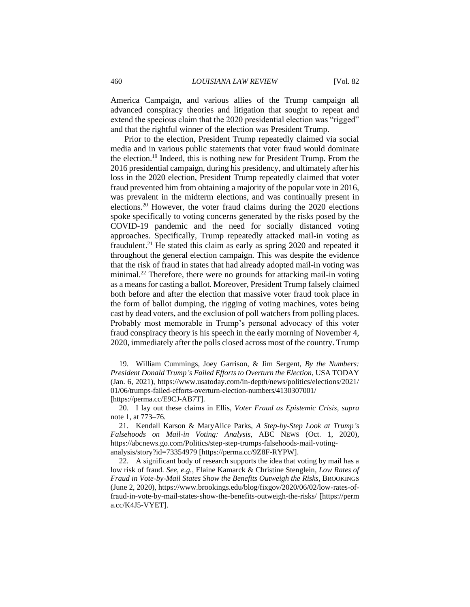America Campaign, and various allies of the Trump campaign all advanced conspiracy theories and litigation that sought to repeat and extend the specious claim that the 2020 presidential election was "rigged" and that the rightful winner of the election was President Trump.

Prior to the election, President Trump repeatedly claimed via social media and in various public statements that voter fraud would dominate the election.<sup>19</sup> Indeed, this is nothing new for President Trump. From the 2016 presidential campaign, during his presidency, and ultimately after his loss in the 2020 election, President Trump repeatedly claimed that voter fraud prevented him from obtaining a majority of the popular vote in 2016, was prevalent in the midterm elections, and was continually present in elections.<sup>20</sup> However, the voter fraud claims during the 2020 elections spoke specifically to voting concerns generated by the risks posed by the COVID-19 pandemic and the need for socially distanced voting approaches. Specifically, Trump repeatedly attacked mail-in voting as fraudulent.<sup>21</sup> He stated this claim as early as spring 2020 and repeated it throughout the general election campaign. This was despite the evidence that the risk of fraud in states that had already adopted mail-in voting was minimal.<sup>22</sup> Therefore, there were no grounds for attacking mail-in voting as a means for casting a ballot. Moreover, President Trump falsely claimed both before and after the election that massive voter fraud took place in the form of ballot dumping, the rigging of voting machines, votes being cast by dead voters, and the exclusion of poll watchers from polling places. Probably most memorable in Trump's personal advocacy of this voter fraud conspiracy theory is his speech in the early morning of November 4, 2020, immediately after the polls closed across most of the country. Trump

<sup>19.</sup> William Cummings, Joey Garrison, & Jim Sergent, *By the Numbers: President Donald Trump's Failed Efforts to Overturn the Election*, USA TODAY (Jan. 6, 2021), https://www.usatoday.com/in-depth/news/politics/elections/2021/ 01/06/trumps-failed-efforts-overturn-election-numbers/4130307001/ [https://perma.cc/E9CJ-AB7T].

<sup>20.</sup> I lay out these claims in Ellis, *Voter Fraud as Epistemic Crisis*, *supra*  note 1, at 773–76.

<sup>21.</sup> Kendall Karson & MaryAlice Parks, *A Step-by-Step Look at Trump's Falsehoods on Mail-in Voting: Analysis*, ABC NEWS (Oct. 1, 2020), https://abcnews.go.com/Politics/step-step-trumps-falsehoods-mail-votinganalysis/story?id=73354979 [https://perma.cc/9Z8F-RYPW].

<sup>22.</sup> A significant body of research supports the idea that voting by mail has a low risk of fraud. *See, e.g.*, Elaine Kamarck & Christine Stenglein, *Low Rates of Fraud in Vote-by-Mail States Show the Benefits Outweigh the Risks*, BROOKINGS (June 2, 2020), https://www.brookings.edu/blog/fixgov/2020/06/02/low-rates-offraud-in-vote-by-mail-states-show-the-benefits-outweigh-the-risks/ [https://perm a.cc/K4J5-VYET].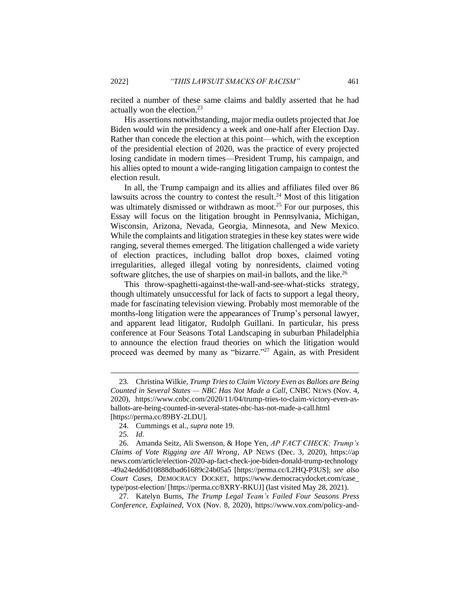recited a number of these same claims and baldly asserted that he had actually won the election.<sup>23</sup>

His assertions notwithstanding, major media outlets projected that Joe Biden would win the presidency a week and one-half after Election Day. Rather than concede the election at this point—which, with the exception of the presidential election of 2020, was the practice of every projected losing candidate in modern times—President Trump, his campaign, and his allies opted to mount a wide-ranging litigation campaign to contest the election result.

In all, the Trump campaign and its allies and affiliates filed over 86 lawsuits across the country to contest the result. <sup>24</sup> Most of this litigation was ultimately dismissed or withdrawn as moot.<sup>25</sup> For our purposes, this Essay will focus on the litigation brought in Pennsylvania, Michigan, Wisconsin, Arizona, Nevada, Georgia, Minnesota, and New Mexico. While the complaints and litigation strategies in these key states were wide ranging, several themes emerged. The litigation challenged a wide variety of election practices, including ballot drop boxes, claimed voting irregularities, alleged illegal voting by nonresidents, claimed voting software glitches, the use of sharpies on mail-in ballots, and the like.<sup>26</sup>

This throw-spaghetti-against-the-wall-and-see-what-sticks strategy, though ultimately unsuccessful for lack of facts to support a legal theory, made for fascinating television viewing. Probably most memorable of the months-long litigation were the appearances of Trump's personal lawyer, and apparent lead litigator, Rudolph Guillani. In particular, his press conference at Four Seasons Total Landscaping in suburban Philadelphia to announce the election fraud theories on which the litigation would proceed was deemed by many as "bizarre."<sup>27</sup> Again, as with President

27. Katelyn Burns, *The Trump Legal Team's Failed Four Seasons Press Conference, Explained*, VOX (Nov. 8, 2020), https://www.vox.com/policy-and-

<sup>23.</sup> Christina Wilkie, *Trump Tries to Claim Victory Even as Ballots are Being Counted in Several States — NBC Has Not Made a Call*, CNBC NEWS (Nov. 4, 2020), https://www.cnbc.com/2020/11/04/trump-tries-to-claim-victory-even-asballots-are-being-counted-in-several-states-nbc-has-not-made-a-call.html [https://perma.cc/89BY-2LDU].

<sup>24.</sup> Cummings et al., *supra* note 19.

<sup>25.</sup> *Id.*

<sup>26.</sup> Amanda Seitz, Ali Swenson, & Hope Yen, *AP FACT CHECK: Trump's Claims of Vote Rigging are All Wrong*, AP NEWS (Dec. 3, 2020), https://ap news.com/article/election-2020-ap-fact-check-joe-biden-donald-trump-technology -49a24edd6d10888dbad61689c24b05a5 [https://perma.cc/L2HQ-P3US]; *see also Court Cases*, DEMOCRACY DOCKET, https://www.democracydocket.com/case\_ type/post-election/ [https://perma.cc/8XRY-RKUJ] (last visited May 28, 2021).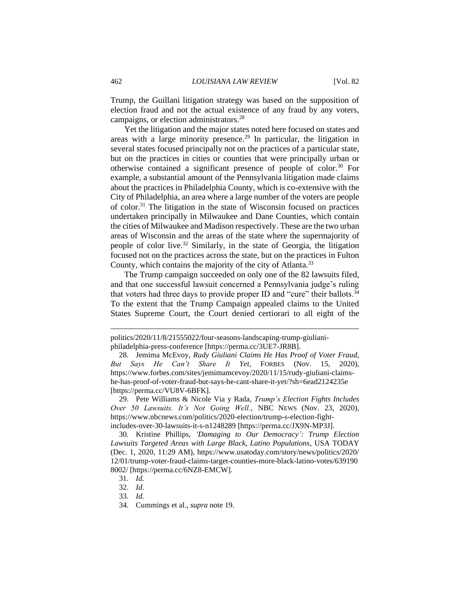Trump, the Guillani litigation strategy was based on the supposition of election fraud and not the actual existence of any fraud by any voters, campaigns, or election administrators.<sup>28</sup>

Yet the litigation and the major states noted here focused on states and areas with a large minority presence.<sup>29</sup> In particular, the litigation in several states focused principally not on the practices of a particular state, but on the practices in cities or counties that were principally urban or otherwise contained a significant presence of people of color.<sup>30</sup> For example, a substantial amount of the Pennsylvania litigation made claims about the practices in Philadelphia County, which is co-extensive with the City of Philadelphia, an area where a large number of the voters are people of color. <sup>31</sup> The litigation in the state of Wisconsin focused on practices undertaken principally in Milwaukee and Dane Counties, which contain the cities of Milwaukee and Madison respectively. These are the two urban areas of Wisconsin and the areas of the state where the supermajority of people of color live.<sup>32</sup> Similarly, in the state of Georgia, the litigation focused not on the practices across the state, but on the practices in Fulton County, which contains the majority of the city of Atlanta.<sup>33</sup>

The Trump campaign succeeded on only one of the 82 lawsuits filed, and that one successful lawsuit concerned a Pennsylvania judge's ruling that voters had three days to provide proper ID and "cure" their ballots.<sup>34</sup> To the extent that the Trump Campaign appealed claims to the United States Supreme Court, the Court denied certiorari to all eight of the

29. Pete Williams & Nicole Via y Rada, *Trump's Election Fights Includes Over 50 Lawsuits. It's Not Going Well.*, NBC NEWS (Nov. 23, 2020), https://www.nbcnews.com/politics/2020-election/trump-s-election-fightincludes-over-30-lawsuits-it-s-n1248289 [https://perma.cc/JX9N-MP3J].

30. Kristine Phillips, *'Damaging to Our Democracy': Trump Election Lawsuits Targeted Areas with Large Black, Latino Populations*, USA TODAY (Dec. 1, 2020, 11:29 AM), https://www.usatoday.com/story/news/politics/2020/ 12/01/trump-voter-fraud-claims-target-counties-more-black-latino-votes/639190

politics/2020/11/8/21555022/four-seasons-landscaping-trump-giulianiphiladelphia-press-conference [https://perma.cc/3UE7-JR8B].

<sup>28.</sup> Jemima McEvoy, *Rudy Giuliani Claims He Has Proof of Voter Fraud, But Says He Can't Share It Yet*, FORBES (Nov. 15, 2020), https://www.forbes.com/sites/jemimamcevoy/2020/11/15/rudy-giuliani-claimshe-has-proof-of-voter-fraud-but-says-he-cant-share-it-yet/?sh=6ead2124235e [https://perma.cc/VU8V-6BFK].

<sup>8002/ [</sup>https://perma.cc/6NZ8-EMCW].

<sup>31.</sup> *Id.*

<sup>32.</sup> *Id.*

<sup>33.</sup> *Id.*

<sup>34.</sup> Cummings et al., *supra* note 19.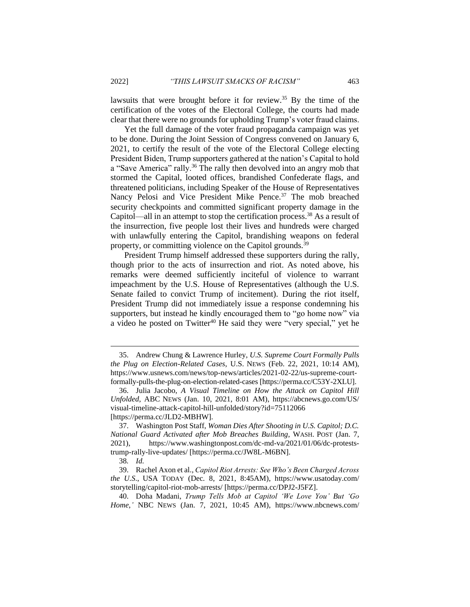lawsuits that were brought before it for review.<sup>35</sup> By the time of the certification of the votes of the Electoral College, the courts had made clear that there were no grounds for upholding Trump's voter fraud claims.

Yet the full damage of the voter fraud propaganda campaign was yet to be done. During the Joint Session of Congress convened on January 6, 2021, to certify the result of the vote of the Electoral College electing President Biden, Trump supporters gathered at the nation's Capital to hold a "Save America" rally.<sup>36</sup> The rally then devolved into an angry mob that stormed the Capital, looted offices, brandished Confederate flags, and threatened politicians, including Speaker of the House of Representatives Nancy Pelosi and Vice President Mike Pence.<sup>37</sup> The mob breached security checkpoints and committed significant property damage in the Capitol—all in an attempt to stop the certification process.<sup>38</sup> As a result of the insurrection, five people lost their lives and hundreds were charged with unlawfully entering the Capitol, brandishing weapons on federal property, or committing violence on the Capitol grounds.<sup>39</sup>

President Trump himself addressed these supporters during the rally, though prior to the acts of insurrection and riot. As noted above, his remarks were deemed sufficiently inciteful of violence to warrant impeachment by the U.S. House of Representatives (although the U.S. Senate failed to convict Trump of incitement). During the riot itself, President Trump did not immediately issue a response condemning his supporters, but instead he kindly encouraged them to "go home now" via a video he posted on Twitter<sup>40</sup> He said they were "very special," yet he

<sup>35.</sup> Andrew Chung & Lawrence Hurley, *U.S. Supreme Court Formally Pulls the Plug on Election-Related Cases*, U.S. NEWS (Feb. 22, 2021, 10:14 AM), https://www.usnews.com/news/top-news/articles/2021-02-22/us-supreme-courtformally-pulls-the-plug-on-election-related-cases [https://perma.cc/C53Y-2XLU].

<sup>36.</sup> Julia Jacobo, *A Visual Timeline on How the Attack on Capitol Hill Unfolded*, ABC NEWS (Jan. 10, 2021, 8:01 AM), https://abcnews.go.com/US/ visual-timeline-attack-capitol-hill-unfolded/story?id=75112066 [https://perma.cc/JLD2-MBHW].

<sup>37.</sup> Washington Post Staff, *Woman Dies After Shooting in U.S. Capitol; D.C. National Guard Activated after Mob Breaches Building*, WASH. POST (Jan. 7, 2021), https://www.washingtonpost.com/dc-md-va/2021/01/06/dc-proteststrump-rally-live-updates/ [https://perma.cc/JW8L-M6BN].

<sup>38</sup>*. Id.*

<sup>39.</sup> Rachel Axon et al., *Capitol Riot Arrests: See Who's Been Charged Across the U.S*., USA TODAY (Dec. 8, 2021, 8:45AM), https://www.usatoday.com/ storytelling/capitol-riot-mob-arrests/ [https://perma.cc/DPJ2-J5FZ].

<sup>40.</sup> Doha Madani, *Trump Tells Mob at Capitol 'We Love You' But 'Go Home*,*'* NBC NEWS (Jan. 7, 2021, 10:45 AM), https://www.nbcnews.com/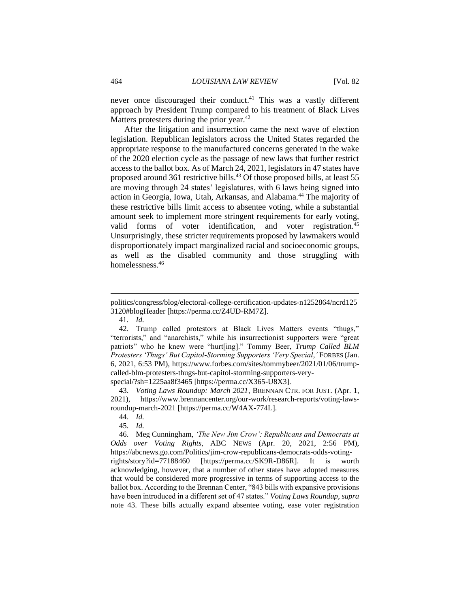never once discouraged their conduct. <sup>41</sup> This was a vastly different approach by President Trump compared to his treatment of Black Lives Matters protesters during the prior year.<sup>42</sup>

After the litigation and insurrection came the next wave of election legislation. Republican legislators across the United States regarded the appropriate response to the manufactured concerns generated in the wake of the 2020 election cycle as the passage of new laws that further restrict access to the ballot box. As of March 24, 2021, legislators in 47 states have proposed around 361 restrictive bills. <sup>43</sup> Of those proposed bills, at least 55 are moving through 24 states' legislatures, with 6 laws being signed into action in Georgia, Iowa, Utah, Arkansas, and Alabama.<sup>44</sup> The majority of these restrictive bills limit access to absentee voting, while a substantial amount seek to implement more stringent requirements for early voting, valid forms of voter identification, and voter registration.<sup>45</sup> Unsurprisingly, these stricter requirements proposed by lawmakers would disproportionately impact marginalized racial and socioeconomic groups, as well as the disabled community and those struggling with homelessness.<sup>46</sup>

41. *Id.*

43. *Voting Laws Roundup: March 2021*, BRENNAN CTR. FOR JUST. (Apr. 1,

politics/congress/blog/electoral-college-certification-updates-n1252864/ncrd125 3120#blogHeader [https://perma.cc/Z4UD-RM7Z].

<sup>42.</sup> Trump called protestors at Black Lives Matters events "thugs," "terrorists," and "anarchists," while his insurrectionist supporters were "great patriots" who he knew were "hurt[ing]." Tommy Beer, *Trump Called BLM Protesters 'Thugs' But Capitol-Storming Supporters 'Very Special*,*'* FORBES (Jan. 6, 2021, 6:53 PM), https://www.forbes.com/sites/tommybeer/2021/01/06/trumpcalled-blm-protesters-thugs-but-capitol-storming-supporters-veryspecial/?sh=1225aa8f3465 [https://perma.cc/X365-U8X3].

<sup>2021),</sup> https://www.brennancenter.org/our-work/research-reports/voting-lawsroundup-march-2021 [https://perma.cc/W4AX-774L].

<sup>44.</sup> *Id.* 45. *Id.* 

<sup>46.</sup> Meg Cunningham, *'The New Jim Crow': Republicans and Democrats at Odds over Voting Rights*, ABC NEWS (Apr. 20, 2021, 2:56 PM), https://abcnews.go.com/Politics/jim-crow-republicans-democrats-odds-votingrights/story?id=77188460 [https://perma.cc/SK9R-D86R]. It is worth acknowledging, however, that a number of other states have adopted measures that would be considered more progressive in terms of supporting access to the ballot box. According to the Brennan Center, "843 bills with expansive provisions have been introduced in a different set of 47 states." *Voting Laws Roundup*, *supra*  note 43. These bills actually expand absentee voting, ease voter registration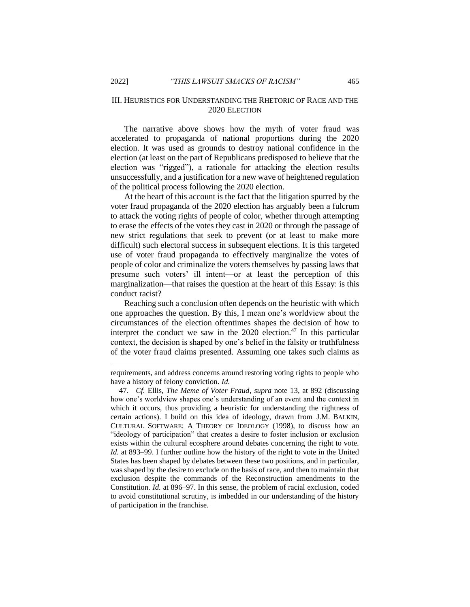### III. HEURISTICS FOR UNDERSTANDING THE RHETORIC OF RACE AND THE 2020 ELECTION

The narrative above shows how the myth of voter fraud was accelerated to propaganda of national proportions during the 2020 election. It was used as grounds to destroy national confidence in the election (at least on the part of Republicans predisposed to believe that the election was "rigged"), a rationale for attacking the election results unsuccessfully, and a justification for a new wave of heightened regulation of the political process following the 2020 election.

At the heart of this account is the fact that the litigation spurred by the voter fraud propaganda of the 2020 election has arguably been a fulcrum to attack the voting rights of people of color, whether through attempting to erase the effects of the votes they cast in 2020 or through the passage of new strict regulations that seek to prevent (or at least to make more difficult) such electoral success in subsequent elections. It is this targeted use of voter fraud propaganda to effectively marginalize the votes of people of color and criminalize the voters themselves by passing laws that presume such voters' ill intent—or at least the perception of this marginalization—that raises the question at the heart of this Essay: is this conduct racist?

Reaching such a conclusion often depends on the heuristic with which one approaches the question. By this, I mean one's worldview about the circumstances of the election oftentimes shapes the decision of how to interpret the conduct we saw in the  $2020$  election.<sup>47</sup> In this particular context, the decision is shaped by one's belief in the falsity or truthfulness of the voter fraud claims presented. Assuming one takes such claims as

requirements, and address concerns around restoring voting rights to people who have a history of felony conviction. *Id.*

<sup>47.</sup> *Cf.* Ellis, *The Meme of Voter Fraud*, *supra* note 13, at 892 (discussing how one's worldview shapes one's understanding of an event and the context in which it occurs, thus providing a heuristic for understanding the rightness of certain actions). I build on this idea of ideology, drawn from J.M. BALKIN, CULTURAL SOFTWARE: A THEORY OF IDEOLOGY (1998), to discuss how an "ideology of participation" that creates a desire to foster inclusion or exclusion exists within the cultural ecosphere around debates concerning the right to vote. *Id.* at 893–99. I further outline how the history of the right to vote in the United States has been shaped by debates between these two positions, and in particular, was shaped by the desire to exclude on the basis of race, and then to maintain that exclusion despite the commands of the Reconstruction amendments to the Constitution. *Id.* at 896–97. In this sense, the problem of racial exclusion, coded to avoid constitutional scrutiny, is imbedded in our understanding of the history of participation in the franchise.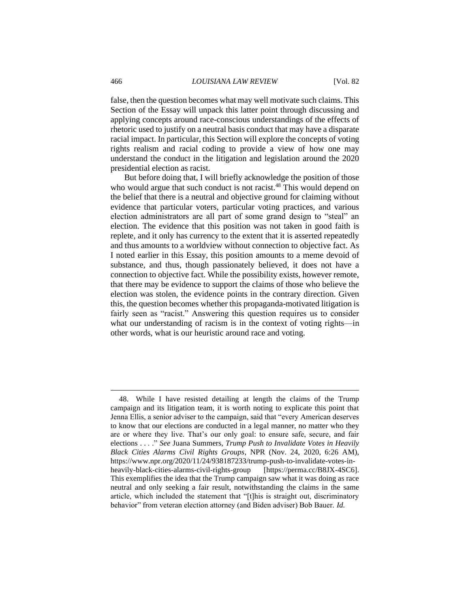false, then the question becomes what may well motivate such claims. This Section of the Essay will unpack this latter point through discussing and applying concepts around race-conscious understandings of the effects of rhetoric used to justify on a neutral basis conduct that may have a disparate racial impact. In particular, this Section will explore the concepts of voting rights realism and racial coding to provide a view of how one may understand the conduct in the litigation and legislation around the 2020 presidential election as racist.

But before doing that, I will briefly acknowledge the position of those who would argue that such conduct is not racist.<sup>48</sup> This would depend on the belief that there is a neutral and objective ground for claiming without evidence that particular voters, particular voting practices, and various election administrators are all part of some grand design to "steal" an election. The evidence that this position was not taken in good faith is replete, and it only has currency to the extent that it is asserted repeatedly and thus amounts to a worldview without connection to objective fact. As I noted earlier in this Essay, this position amounts to a meme devoid of substance, and thus, though passionately believed, it does not have a connection to objective fact. While the possibility exists, however remote, that there may be evidence to support the claims of those who believe the election was stolen, the evidence points in the contrary direction. Given this, the question becomes whether this propaganda-motivated litigation is fairly seen as "racist." Answering this question requires us to consider what our understanding of racism is in the context of voting rights—in other words, what is our heuristic around race and voting.

<sup>48.</sup> While I have resisted detailing at length the claims of the Trump campaign and its litigation team, it is worth noting to explicate this point that Jenna Ellis, a senior adviser to the campaign, said that "every American deserves to know that our elections are conducted in a legal manner, no matter who they are or where they live. That's our only goal: to ensure safe, secure, and fair elections . . . ." *See* Juana Summers, *Trump Push to Invalidate Votes in Heavily Black Cities Alarms Civil Rights Groups*, NPR (Nov. 24, 2020, 6:26 AM), https://www.npr.org/2020/11/24/938187233/trump-push-to-invalidate-votes-inheavily-black-cities-alarms-civil-rights-group [https://perma.cc/B8JX-4SC6]. This exemplifies the idea that the Trump campaign saw what it was doing as race neutral and only seeking a fair result, notwithstanding the claims in the same article, which included the statement that "[t]his is straight out, discriminatory behavior" from veteran election attorney (and Biden adviser) Bob Bauer. *Id.*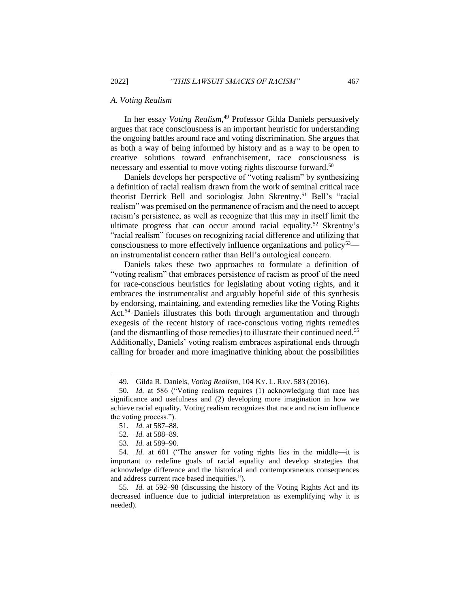#### *A. Voting Realism*

In her essay *Voting Realism*, <sup>49</sup> Professor Gilda Daniels persuasively argues that race consciousness is an important heuristic for understanding the ongoing battles around race and voting discrimination. She argues that as both a way of being informed by history and as a way to be open to creative solutions toward enfranchisement, race consciousness is necessary and essential to move voting rights discourse forward.<sup>50</sup>

Daniels develops her perspective of "voting realism" by synthesizing a definition of racial realism drawn from the work of seminal critical race theorist Derrick Bell and sociologist John Skrentny.<sup>51</sup> Bell's "racial realism" was premised on the permanence of racism and the need to accept racism's persistence, as well as recognize that this may in itself limit the ultimate progress that can occur around racial equality.<sup>52</sup> Skrentny's "racial realism" focuses on recognizing racial difference and utilizing that consciousness to more effectively influence organizations and policy<sup>53</sup> an instrumentalist concern rather than Bell's ontological concern.

Daniels takes these two approaches to formulate a definition of "voting realism" that embraces persistence of racism as proof of the need for race-conscious heuristics for legislating about voting rights, and it embraces the instrumentalist and arguably hopeful side of this synthesis by endorsing, maintaining, and extending remedies like the Voting Rights Act. <sup>54</sup> Daniels illustrates this both through argumentation and through exegesis of the recent history of race-conscious voting rights remedies (and the dismantling of those remedies) to illustrate their continued need.<sup>55</sup> Additionally, Daniels' voting realism embraces aspirational ends through calling for broader and more imaginative thinking about the possibilities

53*. Id.* at 589–90.

55. *Id.* at 592–98 (discussing the history of the Voting Rights Act and its decreased influence due to judicial interpretation as exemplifying why it is needed).

<sup>49.</sup> Gilda R. Daniels, *Voting Realism*, 104 KY. L. REV. 583 (2016).

<sup>50.</sup> *Id.* at 586 ("Voting realism requires (1) acknowledging that race has significance and usefulness and (2) developing more imagination in how we achieve racial equality. Voting realism recognizes that race and racism influence the voting process.").

<sup>51.</sup> *Id.* at 587–88.

<sup>52.</sup> *Id.* at 588–89.

<sup>54.</sup> *Id.* at 601 ("The answer for voting rights lies in the middle—it is important to redefine goals of racial equality and develop strategies that acknowledge difference and the historical and contemporaneous consequences and address current race based inequities.").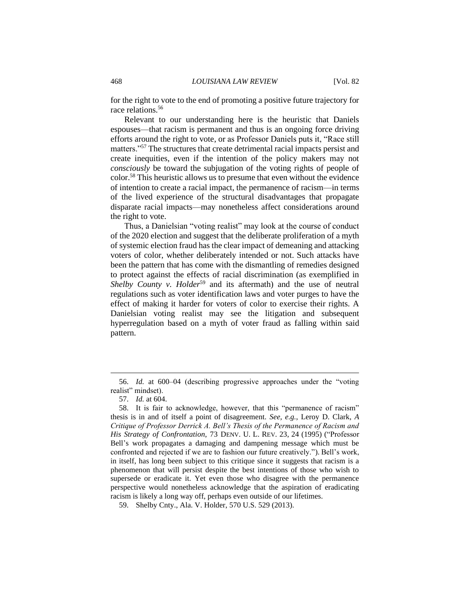for the right to vote to the end of promoting a positive future trajectory for race relations.<sup>56</sup>

Relevant to our understanding here is the heuristic that Daniels espouses—that racism is permanent and thus is an ongoing force driving efforts around the right to vote, or as Professor Daniels puts it, "Race still matters."<sup>57</sup> The structures that create detrimental racial impacts persist and create inequities, even if the intention of the policy makers may not *consciously* be toward the subjugation of the voting rights of people of color.<sup>58</sup> This heuristic allows us to presume that even without the evidence of intention to create a racial impact, the permanence of racism—in terms of the lived experience of the structural disadvantages that propagate disparate racial impacts—may nonetheless affect considerations around the right to vote.

Thus, a Danielsian "voting realist" may look at the course of conduct of the 2020 election and suggest that the deliberate proliferation of a myth of systemic election fraud has the clear impact of demeaning and attacking voters of color, whether deliberately intended or not. Such attacks have been the pattern that has come with the dismantling of remedies designed to protect against the effects of racial discrimination (as exemplified in *Shelby County v. Holder<sup>59</sup>* and its aftermath) and the use of neutral regulations such as voter identification laws and voter purges to have the effect of making it harder for voters of color to exercise their rights. A Danielsian voting realist may see the litigation and subsequent hyperregulation based on a myth of voter fraud as falling within said pattern.

<sup>56.</sup> *Id.* at 600–04 (describing progressive approaches under the "voting realist" mindset).

<sup>57.</sup> *Id.* at 604.

<sup>58.</sup> It is fair to acknowledge, however, that this "permanence of racism" thesis is in and of itself a point of disagreement. *See, e.g.*, Leroy D. Clark, *A Critique of Professor Derrick A. Bell's Thesis of the Permanence of Racism and His Strategy of Confrontation*, 73 DENV. U. L. REV. 23, 24 (1995) ("Professor Bell's work propagates a damaging and dampening message which must be confronted and rejected if we are to fashion our future creatively."). Bell's work, in itself, has long been subject to this critique since it suggests that racism is a phenomenon that will persist despite the best intentions of those who wish to supersede or eradicate it. Yet even those who disagree with the permanence perspective would nonetheless acknowledge that the aspiration of eradicating racism is likely a long way off, perhaps even outside of our lifetimes.

<sup>59.</sup> Shelby Cnty., Ala. V. Holder, 570 U.S. 529 (2013).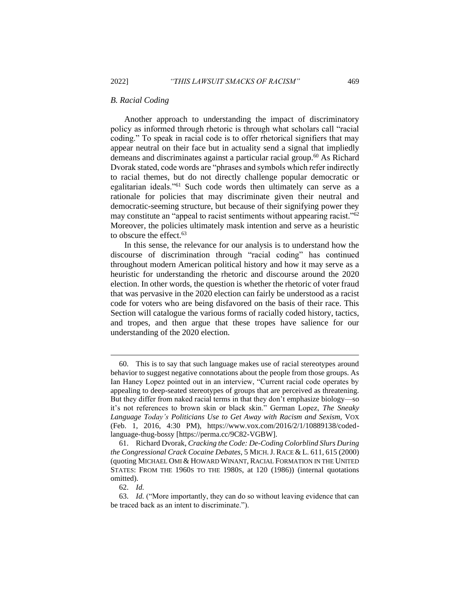#### *B. Racial Coding*

Another approach to understanding the impact of discriminatory policy as informed through rhetoric is through what scholars call "racial coding." To speak in racial code is to offer rhetorical signifiers that may appear neutral on their face but in actuality send a signal that impliedly demeans and discriminates against a particular racial group.<sup>60</sup> As Richard Dvorak stated, code words are "phrases and symbols which refer indirectly to racial themes, but do not directly challenge popular democratic or egalitarian ideals."<sup>61</sup> Such code words then ultimately can serve as a rationale for policies that may discriminate given their neutral and democratic-seeming structure, but because of their signifying power they may constitute an "appeal to racist sentiments without appearing racist."<sup>62</sup> Moreover, the policies ultimately mask intention and serve as a heuristic to obscure the effect.<sup>63</sup>

In this sense, the relevance for our analysis is to understand how the discourse of discrimination through "racial coding" has continued throughout modern American political history and how it may serve as a heuristic for understanding the rhetoric and discourse around the 2020 election. In other words, the question is whether the rhetoric of voter fraud that was pervasive in the 2020 election can fairly be understood as a racist code for voters who are being disfavored on the basis of their race. This Section will catalogue the various forms of racially coded history, tactics, and tropes, and then argue that these tropes have salience for our understanding of the 2020 election.

<sup>60.</sup> This is to say that such language makes use of racial stereotypes around behavior to suggest negative connotations about the people from those groups. As Ian Haney Lopez pointed out in an interview, "Current racial code operates by appealing to deep-seated stereotypes of groups that are perceived as threatening. But they differ from naked racial terms in that they don't emphasize biology—so it's not references to brown skin or black skin." German Lopez, *The Sneaky Language Today's Politicians Use to Get Away with Racism and Sexism*, VOX (Feb. 1, 2016, 4:30 PM), https://www.vox.com/2016/2/1/10889138/codedlanguage-thug-bossy [https://perma.cc/9C82-VGBW].

<sup>61.</sup> Richard Dvorak, *Cracking the Code: De-Coding Colorblind Slurs During the Congressional Crack Cocaine Debates*, 5 MICH.J. RACE & L. 611, 615 (2000) (quoting MICHAEL OMI & HOWARD WINANT, RACIAL FORMATION IN THE UNITED STATES: FROM THE 1960S TO THE 1980S, at 120 (1986)) (internal quotations omitted).

<sup>62.</sup> *Id.*

<sup>63.</sup> *Id.* ("More importantly, they can do so without leaving evidence that can be traced back as an intent to discriminate.").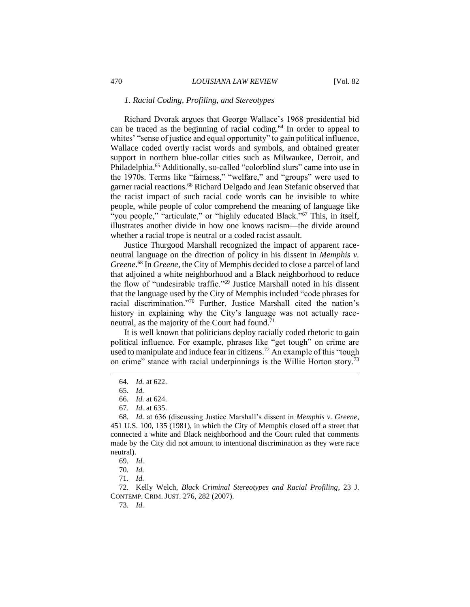#### *1. Racial Coding, Profiling, and Stereotypes*

Richard Dvorak argues that George Wallace's 1968 presidential bid can be traced as the beginning of racial coding.<sup>64</sup> In order to appeal to whites' "sense of justice and equal opportunity" to gain political influence, Wallace coded overtly racist words and symbols, and obtained greater support in northern blue-collar cities such as Milwaukee, Detroit, and Philadelphia.<sup>65</sup> Additionally, so-called "colorblind slurs" came into use in the 1970s. Terms like "fairness," "welfare," and "groups" were used to garner racial reactions.<sup>66</sup> Richard Delgado and Jean Stefanic observed that the racist impact of such racial code words can be invisible to white people, while people of color comprehend the meaning of language like "you people," "articulate," or "highly educated Black."<sup>67</sup> This, in itself, illustrates another divide in how one knows racism—the divide around whether a racial trope is neutral or a coded racist assault.

Justice Thurgood Marshall recognized the impact of apparent raceneutral language on the direction of policy in his dissent in *Memphis v. Greene*. <sup>68</sup> In *Greene*, the City of Memphis decided to close a parcel of land that adjoined a white neighborhood and a Black neighborhood to reduce the flow of "undesirable traffic."<sup>69</sup> Justice Marshall noted in his dissent that the language used by the City of Memphis included "code phrases for racial discrimination."<sup>70</sup> Further, Justice Marshall cited the nation's history in explaining why the City's language was not actually raceneutral, as the majority of the Court had found.<sup>71</sup>

It is well known that politicians deploy racially coded rhetoric to gain political influence. For example, phrases like "get tough" on crime are used to manipulate and induce fear in citizens.<sup>72</sup> An example of this "tough on crime" stance with racial underpinnings is the Willie Horton story.<sup>73</sup>

<sup>64.</sup> *Id.* at 622.

<sup>65.</sup> *Id.*

<sup>66.</sup> *Id.* at 624.

<sup>67.</sup> *Id.* at 635.

<sup>68</sup>*. Id.* at 636 (discussing Justice Marshall's dissent in *Memphis v. Greene*, 451 U.S. 100, 135 (1981), in which the City of Memphis closed off a street that connected a white and Black neighborhood and the Court ruled that comments made by the City did not amount to intentional discrimination as they were race neutral).

<sup>69</sup>*. Id.*

<sup>70</sup>*. Id.* 

<sup>71.</sup> *Id.*

<sup>72.</sup> Kelly Welch, *Black Criminal Stereotypes and Racial Profiling*, 23 J. CONTEMP. CRIM. JUST. 276, 282 (2007).

<sup>73.</sup> *Id.*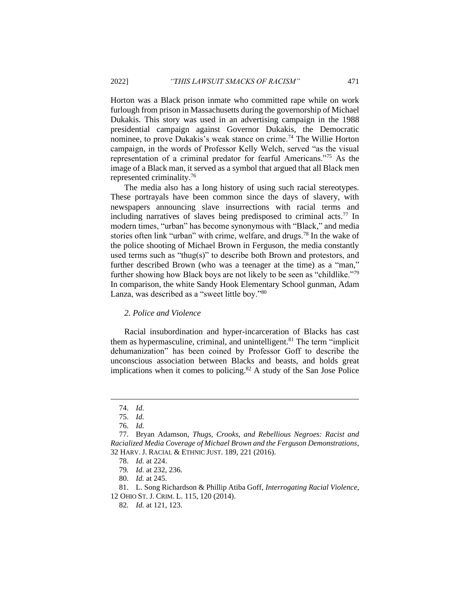Horton was a Black prison inmate who committed rape while on work furlough from prison in Massachusetts during the governorship of Michael Dukakis. This story was used in an advertising campaign in the 1988 presidential campaign against Governor Dukakis, the Democratic nominee, to prove Dukakis's weak stance on crime.<sup>74</sup> The Willie Horton campaign, in the words of Professor Kelly Welch, served "as the visual representation of a criminal predator for fearful Americans."<sup>75</sup> As the image of a Black man, it served as a symbol that argued that all Black men represented criminality.<sup>76</sup>

The media also has a long history of using such racial stereotypes. These portrayals have been common since the days of slavery, with newspapers announcing slave insurrections with racial terms and including narratives of slaves being predisposed to criminal  $\arctan 77$  In modern times, "urban" has become synonymous with "Black," and media stories often link "urban" with crime, welfare, and drugs.<sup>78</sup> In the wake of the police shooting of Michael Brown in Ferguson, the media constantly used terms such as "thug(s)" to describe both Brown and protestors, and further described Brown (who was a teenager at the time) as a "man," further showing how Black boys are not likely to be seen as "childlike."<sup>79</sup> In comparison, the white Sandy Hook Elementary School gunman, Adam Lanza, was described as a "sweet little boy."<sup>80</sup>

#### *2. Police and Violence*

Racial insubordination and hyper-incarceration of Blacks has cast them as hypermasculine, criminal, and unintelligent.<sup>81</sup> The term "implicit dehumanization" has been coined by Professor Goff to describe the unconscious association between Blacks and beasts, and holds great implications when it comes to policing. $82$  A study of the San Jose Police

<sup>74.</sup> *Id.*

<sup>75.</sup> *Id.*

<sup>76.</sup> *Id.*

<sup>77.</sup> Bryan Adamson, *Thugs, Crooks, and Rebellious Negroes: Racist and Racialized Media Coverage of Michael Brown and the Ferguson Demonstrations*, 32 HARV. J. RACIAL & ETHNIC JUST. 189, 221 (2016).

<sup>78.</sup> *Id.* at 224.

<sup>79</sup>*. Id.* at 232, 236.

<sup>80.</sup> *Id.* at 245.

<sup>81.</sup> L. Song Richardson & Phillip Atiba Goff, *Interrogating Racial Violence*, 12 OHIO ST. J. CRIM. L. 115, 120 (2014).

<sup>82</sup>*. Id.* at 121, 123.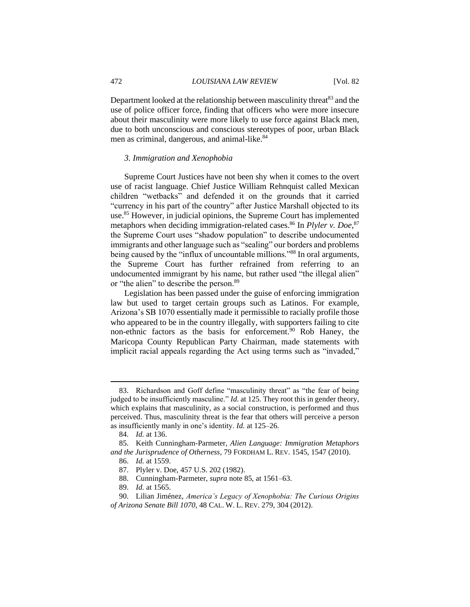Department looked at the relationship between masculinity threat<sup>83</sup> and the use of police officer force, finding that officers who were more insecure about their masculinity were more likely to use force against Black men, due to both unconscious and conscious stereotypes of poor, urban Black men as criminal, dangerous, and animal-like.<sup>84</sup>

#### *3. Immigration and Xenophobia*

Supreme Court Justices have not been shy when it comes to the overt use of racist language. Chief Justice William Rehnquist called Mexican children "wetbacks" and defended it on the grounds that it carried "currency in his part of the country" after Justice Marshall objected to its use.<sup>85</sup> However, in judicial opinions, the Supreme Court has implemented metaphors when deciding immigration-related cases.<sup>86</sup> In *Plyler v. Doe*,<sup>87</sup> the Supreme Court uses "shadow population" to describe undocumented immigrants and other language such as "sealing" our borders and problems being caused by the "influx of uncountable millions."<sup>88</sup> In oral arguments, the Supreme Court has further refrained from referring to an undocumented immigrant by his name, but rather used "the illegal alien" or "the alien" to describe the person.<sup>89</sup>

Legislation has been passed under the guise of enforcing immigration law but used to target certain groups such as Latinos. For example, Arizona's SB 1070 essentially made it permissible to racially profile those who appeared to be in the country illegally, with supporters failing to cite non-ethnic factors as the basis for enforcement.<sup>90</sup> Rob Haney, the Maricopa County Republican Party Chairman, made statements with implicit racial appeals regarding the Act using terms such as "invaded,"

<sup>83.</sup> Richardson and Goff define "masculinity threat" as "the fear of being judged to be insufficiently masculine." *Id.* at 125. They root this in gender theory, which explains that masculinity, as a social construction, is performed and thus perceived. Thus, masculinity threat is the fear that others will perceive a person as insufficiently manly in one's identity. *Id.* at 125–26.

<sup>84.</sup> *Id.* at 136.

<sup>85.</sup> Keith Cunningham-Parmeter, *Alien Language: Immigration Metaphors and the Jurisprudence of Otherness*, 79 FORDHAM L. REV. 1545, 1547 (2010).

<sup>86.</sup> *Id.* at 1559.

<sup>87.</sup> Plyler v. Doe, 457 U.S. 202 (1982).

<sup>88.</sup> Cunningham-Parmeter, *supra* note 85, at 1561–63.

<sup>89.</sup> *Id.* at 1565.

<sup>90.</sup> Lilian Jiménez, *America's Legacy of Xenophobia: The Curious Origins of Arizona Senate Bill 1070*, 48 CAL. W. L. REV. 279, 304 (2012).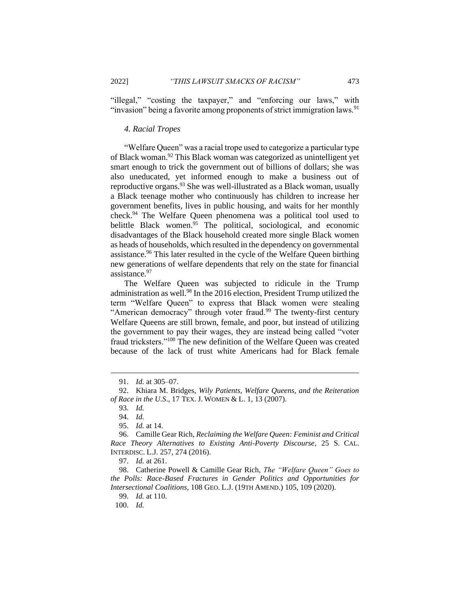"illegal," "costing the taxpayer," and "enforcing our laws," with "invasion" being a favorite among proponents of strict immigration laws.<sup>91</sup>

#### *4. Racial Tropes*

"Welfare Queen" was a racial trope used to categorize a particular type of Black woman.<sup>92</sup> This Black woman was categorized as unintelligent yet smart enough to trick the government out of billions of dollars; she was also uneducated, yet informed enough to make a business out of reproductive organs.<sup>93</sup> She was well-illustrated as a Black woman, usually a Black teenage mother who continuously has children to increase her government benefits, lives in public housing, and waits for her monthly check.<sup>94</sup> The Welfare Queen phenomena was a political tool used to belittle Black women.<sup>95</sup> The political, sociological, and economic disadvantages of the Black household created more single Black women as heads of households, which resulted in the dependency on governmental assistance.<sup>96</sup> This later resulted in the cycle of the Welfare Queen birthing new generations of welfare dependents that rely on the state for financial assistance.<sup>97</sup>

The Welfare Queen was subjected to ridicule in the Trump administration as well.<sup>98</sup> In the 2016 election, President Trump utilized the term "Welfare Queen" to express that Black women were stealing "American democracy" through voter fraud.<sup>99</sup> The twenty-first century Welfare Queens are still brown, female, and poor, but instead of utilizing the government to pay their wages, they are instead being called "voter fraud tricksters."<sup>100</sup> The new definition of the Welfare Queen was created because of the lack of trust white Americans had for Black female

<sup>91.</sup> *Id.* at 305–07.

<sup>92.</sup> Khiara M. Bridges, *Wily Patients, Welfare Queens, and the Reiteration of Race in the U.S*., 17 TEX. J. WOMEN & L. 1, 13 (2007).

<sup>93.</sup> *Id.*

<sup>94.</sup> *Id.*

<sup>95.</sup> *Id.* at 14.

<sup>96.</sup> Camille Gear Rich, *Reclaiming the Welfare Queen: Feminist and Critical Race Theory Alternatives to Existing Anti-Poverty Discourse*, 25 S. CAL. INTERDISC. L.J. 257, 274 (2016).

<sup>97.</sup> *Id.* at 261.

<sup>98.</sup> Catherine Powell & Camille Gear Rich, *The "Welfare Queen" Goes to the Polls: Race-Based Fractures in Gender Politics and Opportunities for Intersectional Coalitions*, 108 GEO. L.J. (19TH AMEND.) 105, 109 (2020).

<sup>99.</sup> *Id.* at 110.

<sup>100.</sup> *Id.*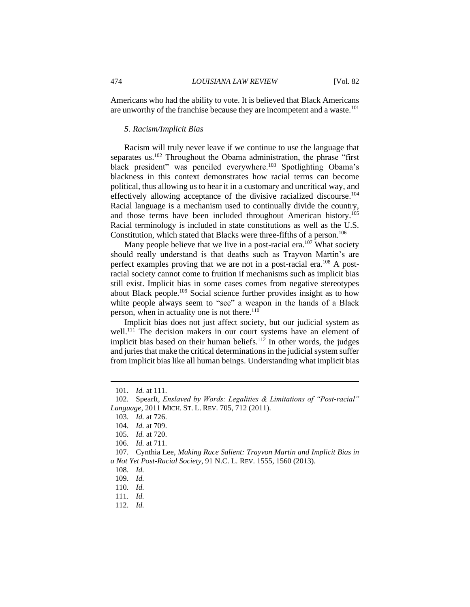Americans who had the ability to vote. It is believed that Black Americans are unworthy of the franchise because they are incompetent and a waste.<sup>101</sup>

#### *5. Racism/Implicit Bias*

Racism will truly never leave if we continue to use the language that separates us.<sup>102</sup> Throughout the Obama administration, the phrase "first black president" was penciled everywhere.<sup>103</sup> Spotlighting Obama's blackness in this context demonstrates how racial terms can become political, thus allowing us to hear it in a customary and uncritical way, and effectively allowing acceptance of the divisive racialized discourse.<sup>104</sup> Racial language is a mechanism used to continually divide the country, and those terms have been included throughout American history.<sup>105</sup> Racial terminology is included in state constitutions as well as the U.S. Constitution, which stated that Blacks were three-fifths of a person.<sup>106</sup>

Many people believe that we live in a post-racial era.<sup>107</sup> What society should really understand is that deaths such as Trayvon Martin's are perfect examples proving that we are not in a post-racial era.<sup>108</sup> A postracial society cannot come to fruition if mechanisms such as implicit bias still exist. Implicit bias in some cases comes from negative stereotypes about Black people.<sup>109</sup> Social science further provides insight as to how white people always seem to "see" a weapon in the hands of a Black person, when in actuality one is not there.<sup>110</sup>

Implicit bias does not just affect society, but our judicial system as well.<sup>111</sup> The decision makers in our court systems have an element of implicit bias based on their human beliefs.<sup>112</sup> In other words, the judges and juries that make the critical determinations in the judicial system suffer from implicit bias like all human beings. Understanding what implicit bias

<sup>101.</sup> *Id.* at 111.

<sup>102.</sup> SpearIt, *Enslaved by Words: Legalities & Limitations of "Post-racial" Language*, 2011 MICH. ST. L. REV. 705, 712 (2011).

<sup>103.</sup> *Id.* at 726.

<sup>104.</sup> *Id.* at 709.

<sup>105.</sup> *Id.* at 720.

<sup>106.</sup> *Id.* at 711.

<sup>107.</sup> Cynthia Lee, *Making Race Salient: Trayvon Martin and Implicit Bias in a Not Yet Post-Racial Society*, 91 N.C. L. REV. 1555, 1560 (2013).

<sup>108.</sup> *Id.*

<sup>109.</sup> *Id.*

<sup>110.</sup> *Id.*

<sup>111.</sup> *Id.*

<sup>112.</sup> *Id.*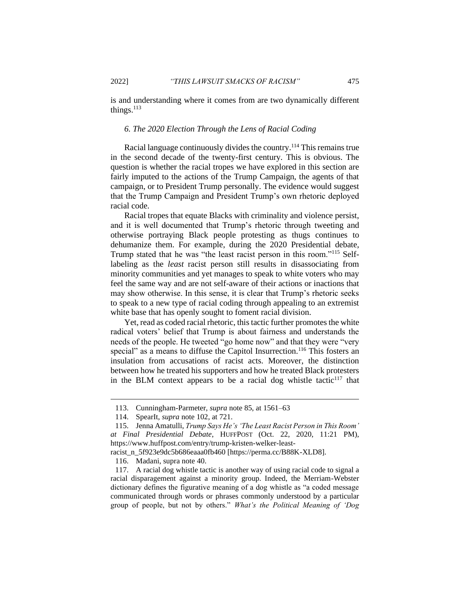is and understanding where it comes from are two dynamically different things. $113$ 

#### *6. The 2020 Election Through the Lens of Racial Coding*

Racial language continuously divides the country.<sup>114</sup> This remains true in the second decade of the twenty-first century. This is obvious. The question is whether the racial tropes we have explored in this section are fairly imputed to the actions of the Trump Campaign, the agents of that campaign, or to President Trump personally. The evidence would suggest that the Trump Campaign and President Trump's own rhetoric deployed racial code.

Racial tropes that equate Blacks with criminality and violence persist, and it is well documented that Trump's rhetoric through tweeting and otherwise portraying Black people protesting as thugs continues to dehumanize them. For example, during the 2020 Presidential debate, Trump stated that he was "the least racist person in this room."<sup>115</sup> Selflabeling as the *least* racist person still results in disassociating from minority communities and yet manages to speak to white voters who may feel the same way and are not self-aware of their actions or inactions that may show otherwise. In this sense, it is clear that Trump's rhetoric seeks to speak to a new type of racial coding through appealing to an extremist white base that has openly sought to foment racial division.

Yet, read as coded racial rhetoric, this tactic further promotes the white radical voters' belief that Trump is about fairness and understands the needs of the people. He tweeted "go home now" and that they were "very special" as a means to diffuse the Capitol Insurrection.<sup>116</sup> This fosters an insulation from accusations of racist acts. Moreover, the distinction between how he treated his supporters and how he treated Black protesters in the BLM context appears to be a racial dog whistle tactic<sup>117</sup> that

<sup>113.</sup> Cunningham-Parmeter, *supra* note 85, at 1561–63

<sup>114.</sup> SpearIt, *supra* note 102, at 721.

<sup>115.</sup> Jenna Amatulli, *Trump Says He's 'The Least Racist Person in This Room' at Final Presidential Debate*, HUFFPOST (Oct. 22, 2020, 11:21 PM),

https://www.huffpost.com/entry/trump-kristen-welker-least-

racist\_n\_5f923e9dc5b686eaaa0fb460 [https://perma.cc/B88K-XLD8].

<sup>116.</sup> Madani, supra note 40.

<sup>117.</sup> A racial dog whistle tactic is another way of using racial code to signal a racial disparagement against a minority group. Indeed, the Merriam-Webster dictionary defines the figurative meaning of a dog whistle as "a coded message communicated through words or phrases commonly understood by a particular group of people, but not by others." *What's the Political Meaning of 'Dog*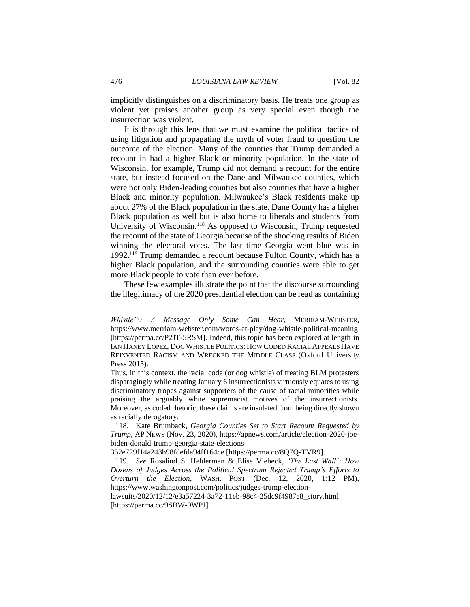implicitly distinguishes on a discriminatory basis. He treats one group as violent yet praises another group as very special even though the insurrection was violent.

It is through this lens that we must examine the political tactics of using litigation and propagating the myth of voter fraud to question the outcome of the election. Many of the counties that Trump demanded a recount in had a higher Black or minority population. In the state of Wisconsin, for example, Trump did not demand a recount for the entire state, but instead focused on the Dane and Milwaukee counties, which were not only Biden-leading counties but also counties that have a higher Black and minority population. Milwaukee's Black residents make up about 27% of the Black population in the state. Dane County has a higher Black population as well but is also home to liberals and students from University of Wisconsin.<sup>118</sup> As opposed to Wisconsin, Trump requested the recount of the state of Georgia because of the shocking results of Biden winning the electoral votes. The last time Georgia went blue was in 1992.<sup>119</sup> Trump demanded a recount because Fulton County, which has a higher Black population, and the surrounding counties were able to get more Black people to vote than ever before.

These few examples illustrate the point that the discourse surrounding the illegitimacy of the 2020 presidential election can be read as containing

lawsuits/2020/12/12/e3a57224-3a72-11eb-98c4-25dc9f4987e8\_story.html [https://perma.cc/9SBW-9WPJ].

*Whistle'?: A Message Only Some Can Hear*, MERRIAM-WEBSTER, https://www.merriam-webster.com/words-at-play/dog-whistle-political-meaning [https://perma.cc/P2JT-5RSM]. Indeed, this topic has been explored at length in IAN HANEY LOPEZ, DOG WHISTLE POLITICS: HOW CODED RACIAL APPEALS HAVE REINVENTED RACISM AND WRECKED THE MIDDLE CLASS (Oxford University Press 2015).

Thus, in this context, the racial code (or dog whistle) of treating BLM protesters disparagingly while treating January 6 insurrectionists virtuously equates to using discriminatory tropes against supporters of the cause of racial minorities while praising the arguably white supremacist motives of the insurrectionists. Moreover, as coded rhetoric, these claims are insulated from being directly shown as racially derogatory.

<sup>118.</sup> Kate Brumback, *Georgia Counties Set to Start Recount Requested by Trump*, AP NEWS (Nov. 23, 2020), https://apnews.com/article/election-2020-joebiden-donald-trump-georgia-state-elections-

<sup>352</sup>e729f14a243b98fdefda94ff164ce [https://perma.cc/8Q7Q-TVR9].

<sup>119.</sup> *See* Rosalind S. Helderman & Elise Viebeck, *'The Last Wall': How Dozens of Judges Across the Political Spectrum Rejected Trump's Efforts to Overturn the Election*, WASH. POST (Dec. 12, 2020, 1:12 PM), https://www.washingtonpost.com/politics/judges-trump-election-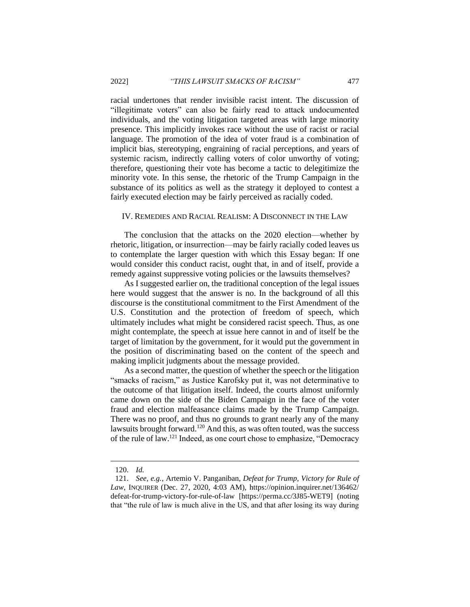racial undertones that render invisible racist intent. The discussion of "illegitimate voters" can also be fairly read to attack undocumented individuals, and the voting litigation targeted areas with large minority presence. This implicitly invokes race without the use of racist or racial language. The promotion of the idea of voter fraud is a combination of implicit bias, stereotyping, engraining of racial perceptions, and years of systemic racism, indirectly calling voters of color unworthy of voting; therefore, questioning their vote has become a tactic to delegitimize the minority vote. In this sense, the rhetoric of the Trump Campaign in the substance of its politics as well as the strategy it deployed to contest a fairly executed election may be fairly perceived as racially coded.

#### IV. REMEDIES AND RACIAL REALISM: A DISCONNECT IN THE LAW

The conclusion that the attacks on the 2020 election—whether by rhetoric, litigation, or insurrection—may be fairly racially coded leaves us to contemplate the larger question with which this Essay began: If one would consider this conduct racist, ought that, in and of itself, provide a remedy against suppressive voting policies or the lawsuits themselves?

As I suggested earlier on, the traditional conception of the legal issues here would suggest that the answer is no. In the background of all this discourse is the constitutional commitment to the First Amendment of the U.S. Constitution and the protection of freedom of speech, which ultimately includes what might be considered racist speech. Thus, as one might contemplate, the speech at issue here cannot in and of itself be the target of limitation by the government, for it would put the government in the position of discriminating based on the content of the speech and making implicit judgments about the message provided.

As a second matter, the question of whether the speech or the litigation "smacks of racism," as Justice Karofsky put it, was not determinative to the outcome of that litigation itself. Indeed, the courts almost uniformly came down on the side of the Biden Campaign in the face of the voter fraud and election malfeasance claims made by the Trump Campaign. There was no proof, and thus no grounds to grant nearly any of the many lawsuits brought forward.<sup>120</sup> And this, as was often touted, was the success of the rule of law.<sup>121</sup> Indeed, as one court chose to emphasize, "Democracy

<sup>120.</sup> *Id.*

<sup>121.</sup> *See, e.g.*, Artemio V. Panganiban, *Defeat for Trump, Victory for Rule of Law*, INQUIRER (Dec. 27, 2020, 4:03 AM), https://opinion.inquirer.net/136462/ defeat-for-trump-victory-for-rule-of-law [https://perma.cc/3J85-WET9] (noting that "the rule of law is much alive in the US, and that after losing its way during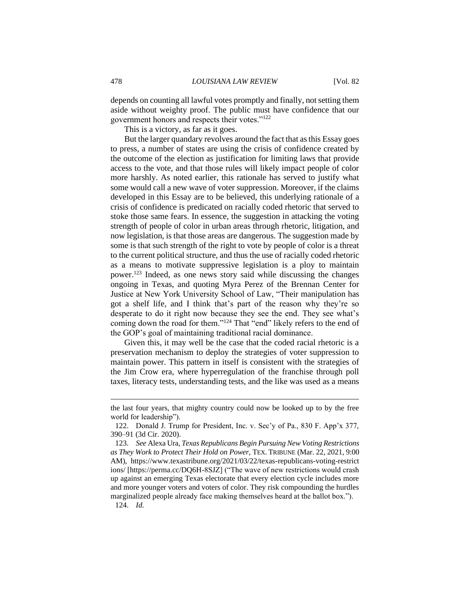depends on counting all lawful votes promptly and finally, not setting them aside without weighty proof. The public must have confidence that our government honors and respects their votes."<sup>122</sup>

This is a victory, as far as it goes.

But the larger quandary revolves around the fact that as this Essay goes to press, a number of states are using the crisis of confidence created by the outcome of the election as justification for limiting laws that provide access to the vote, and that those rules will likely impact people of color more harshly. As noted earlier, this rationale has served to justify what some would call a new wave of voter suppression. Moreover, if the claims developed in this Essay are to be believed, this underlying rationale of a crisis of confidence is predicated on racially coded rhetoric that served to stoke those same fears. In essence, the suggestion in attacking the voting strength of people of color in urban areas through rhetoric, litigation, and now legislation, is that those areas are dangerous. The suggestion made by some is that such strength of the right to vote by people of color is a threat to the current political structure, and thus the use of racially coded rhetoric as a means to motivate suppressive legislation is a ploy to maintain power.<sup>123</sup> Indeed, as one news story said while discussing the changes ongoing in Texas, and quoting Myra Perez of the Brennan Center for Justice at New York University School of Law, "Their manipulation has got a shelf life, and I think that's part of the reason why they're so desperate to do it right now because they see the end. They see what's coming down the road for them."<sup>124</sup> That "end" likely refers to the end of the GOP's goal of maintaining traditional racial dominance.

Given this, it may well be the case that the coded racial rhetoric is a preservation mechanism to deploy the strategies of voter suppression to maintain power. This pattern in itself is consistent with the strategies of the Jim Crow era, where hyperregulation of the franchise through poll taxes, literacy tests, understanding tests, and the like was used as a means

the last four years, that mighty country could now be looked up to by the free world for leadership").

<sup>122.</sup> Donald J. Trump for President, Inc. v. Sec'y of Pa., 830 F. App'x 377, 390–91 (3d Cir. 2020).

<sup>123.</sup> *See* Alexa Ura, *Texas Republicans Begin Pursuing New Voting Restrictions as They Work to Protect Their Hold on Power*, TEX. TRIBUNE (Mar. 22, 2021, 9:00 AM), https://www.texastribune.org/2021/03/22/texas-republicans-voting-restrict ions/ [https://perma.cc/DQ6H-8SJZ] ("The wave of new restrictions would crash up against an emerging Texas electorate that every election cycle includes more and more younger voters and voters of color. They risk compounding the hurdles marginalized people already face making themselves heard at the ballot box.").

<sup>124.</sup> *Id.*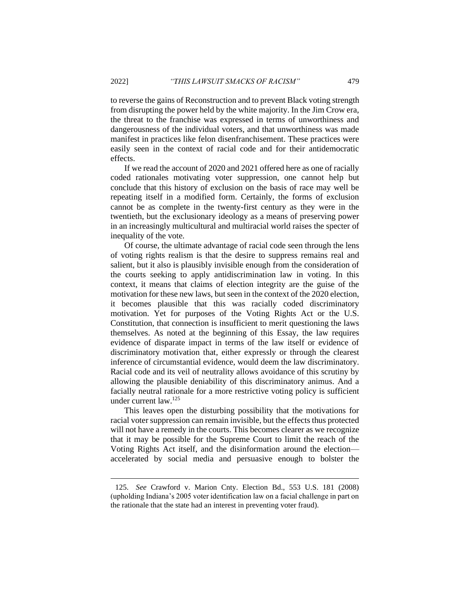to reverse the gains of Reconstruction and to prevent Black voting strength from disrupting the power held by the white majority. In the Jim Crow era, the threat to the franchise was expressed in terms of unworthiness and dangerousness of the individual voters, and that unworthiness was made manifest in practices like felon disenfranchisement. These practices were easily seen in the context of racial code and for their antidemocratic effects.

If we read the account of 2020 and 2021 offered here as one of racially coded rationales motivating voter suppression, one cannot help but conclude that this history of exclusion on the basis of race may well be repeating itself in a modified form. Certainly, the forms of exclusion cannot be as complete in the twenty-first century as they were in the twentieth, but the exclusionary ideology as a means of preserving power in an increasingly multicultural and multiracial world raises the specter of inequality of the vote.

Of course, the ultimate advantage of racial code seen through the lens of voting rights realism is that the desire to suppress remains real and salient, but it also is plausibly invisible enough from the consideration of the courts seeking to apply antidiscrimination law in voting. In this context, it means that claims of election integrity are the guise of the motivation for these new laws, but seen in the context of the 2020 election, it becomes plausible that this was racially coded discriminatory motivation. Yet for purposes of the Voting Rights Act or the U.S. Constitution, that connection is insufficient to merit questioning the laws themselves. As noted at the beginning of this Essay, the law requires evidence of disparate impact in terms of the law itself or evidence of discriminatory motivation that, either expressly or through the clearest inference of circumstantial evidence, would deem the law discriminatory. Racial code and its veil of neutrality allows avoidance of this scrutiny by allowing the plausible deniability of this discriminatory animus. And a facially neutral rationale for a more restrictive voting policy is sufficient under current law.<sup>125</sup>

This leaves open the disturbing possibility that the motivations for racial voter suppression can remain invisible, but the effects thus protected will not have a remedy in the courts. This becomes clearer as we recognize that it may be possible for the Supreme Court to limit the reach of the Voting Rights Act itself, and the disinformation around the election accelerated by social media and persuasive enough to bolster the

<sup>125.</sup> *See* Crawford v. Marion Cnty. Election Bd., 553 U.S. 181 (2008) (upholding Indiana's 2005 voter identification law on a facial challenge in part on the rationale that the state had an interest in preventing voter fraud).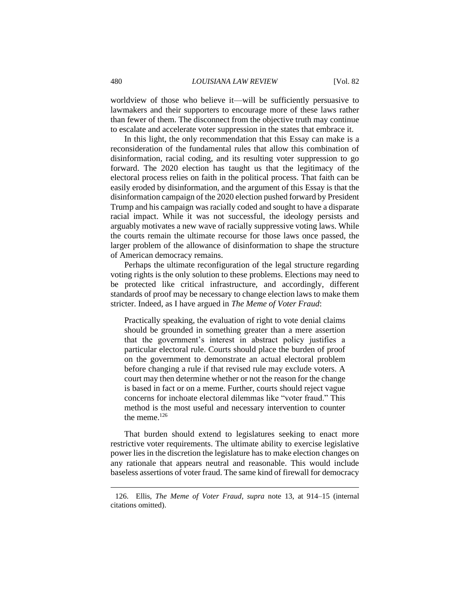worldview of those who believe it—will be sufficiently persuasive to lawmakers and their supporters to encourage more of these laws rather than fewer of them. The disconnect from the objective truth may continue to escalate and accelerate voter suppression in the states that embrace it.

In this light, the only recommendation that this Essay can make is a reconsideration of the fundamental rules that allow this combination of disinformation, racial coding, and its resulting voter suppression to go forward. The 2020 election has taught us that the legitimacy of the electoral process relies on faith in the political process. That faith can be easily eroded by disinformation, and the argument of this Essay is that the disinformation campaign of the 2020 election pushed forward by President Trump and his campaign was racially coded and sought to have a disparate racial impact. While it was not successful, the ideology persists and arguably motivates a new wave of racially suppressive voting laws. While the courts remain the ultimate recourse for those laws once passed, the larger problem of the allowance of disinformation to shape the structure of American democracy remains.

Perhaps the ultimate reconfiguration of the legal structure regarding voting rights is the only solution to these problems. Elections may need to be protected like critical infrastructure, and accordingly, different standards of proof may be necessary to change election laws to make them stricter. Indeed, as I have argued in *The Meme of Voter Fraud*:

Practically speaking, the evaluation of right to vote denial claims should be grounded in something greater than a mere assertion that the government's interest in abstract policy justifies a particular electoral rule. Courts should place the burden of proof on the government to demonstrate an actual electoral problem before changing a rule if that revised rule may exclude voters. A court may then determine whether or not the reason for the change is based in fact or on a meme. Further, courts should reject vague concerns for inchoate electoral dilemmas like "voter fraud." This method is the most useful and necessary intervention to counter the meme.<sup>126</sup>

That burden should extend to legislatures seeking to enact more restrictive voter requirements. The ultimate ability to exercise legislative power lies in the discretion the legislature has to make election changes on any rationale that appears neutral and reasonable. This would include baseless assertions of voter fraud. The same kind of firewall for democracy

<sup>126.</sup> Ellis, *The Meme of Voter Fraud*, *supra* note 13, at 914–15 (internal citations omitted).